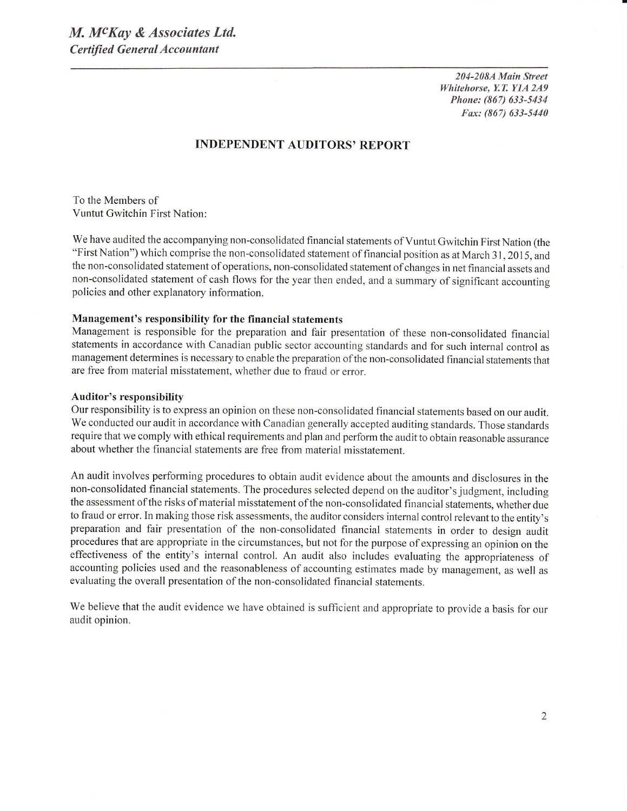204-208A Main Street Whitehorse, Y.T. Y1A 2A9 Phone: (867) 633-5434 Fux: (867) 633-5440

# TNDEPENDENT AUDITORS' REPORT

To the Members of Vuntut Gwitchin First Nation:

We have audited the accompanying non-consolidated financial statements of Vuntut Gwitchin First Nation (the "First Nation") which comprise the non-consolidated statement of financial position as at March 3l ,2015, and the non-consolidated statement of operations, non-consolidated statement ofchanges in net financial assets and non-consolidated statement of cash flows for the year then ended, and a summary of significant accounting policies and other explanatory information.

### Management's responsibilify for the financial statements

Management is responsible for the preparation and fair presentation of these non-consolidated financial statements in accordance with Canadian public sector accounting standards and for such internal control as management determines is necessary to enable the preparation of the non-consolidated financial statements that are free from material misstatement, whether due to fraud or error.

#### Auditor's responsibilify

Our responsibility is to express an opinion on these non-consolidated financial statements based on our audit. We conducted our audit in accordance with Canadian generally accepted auditing standards. Those standards require that we comply with ethical requirements and plan and perform the audit to obtain reasonable assurance about whether the financial statements are free from material misstatement.

An audit involves performing procedures to obtain audit evidence about the amounts and disclosures in the non-consolidated financial statements. The procedures selected depend on the auditor's judgment, including the assessment of the risks of material misstatement of the non-consolidated financial statements, whether due to fraud or error. In making those risk assessments, the auditor considers internal control relevant to the entity's preparation and fair presentation of the non-consolidated financial statements in order to design audit procedures that are appropriate in the circumstances, but not for the purpose of expressing an opinion on the effectiveness of the entity's internal control. An audit also includes evaluating the appropriateness of accounting policies used and the reasonableness of accounting estimates made by management, as well as evaluating the overall presentation of the non-consolidated financial statements.

We believe that the audit evidence we have obtained is sufficient and appropriate to provide a basis for our audit opinion.